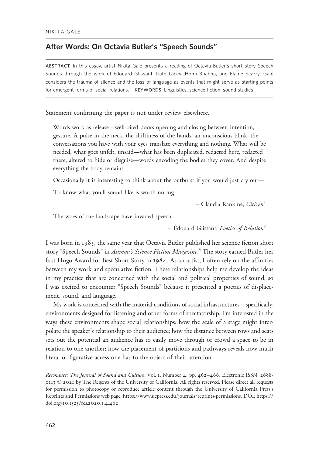# After Words: On Octavia Butler's "Speech Sounds"

ABSTRACT In this essay, artist Nikita Gale presents a reading of Octavia Butler's short story Speech Sounds through the work of Edouard Glissant, Kate Lacey, Homi Bhabha, and Elaine Scarry. Gale considers the trauma of silence and the loss of language as events that might serve as starting points for emergent forms of social relations. KEYWORDS Linguistics, science fiction, sound studies

Statement confirming the paper is not under review elsewhere.

Words work as release—well-oiled doors opening and closing between intention, gesture. A pulse in the neck, the shiftiness of the hands, an unconscious blink, the conversations you have with your eyes translate everything and nothing. What will be needed, what goes unfelt, unsaid—what has been duplicated, redacted here, redacted there, altered to hide or disguise—words encoding the bodies they cover. And despite everything the body remains.

Occasionally it is interesting to think about the outburst if you would just cry out—

To know what you'll sound like is worth noting—

– Claudia Rankine, Citizen<sup>1</sup>

The woes of the landscape have invaded speech ...

 $-$  Edouard Glissant, Poetics of Relation<sup>2</sup>

I was born in 1983, the same year that Octavia Butler published her science fiction short story "Speech Sounds" in *Asimov's Science Fiction Magazine*.<sup>3</sup> The story earned Butler her first Hugo Award for Best Short Story in 1984. As an artist, I often rely on the affinities between my work and speculative fiction. These relationships help me develop the ideas in my practice that are concerned with the social and political properties of sound, so I was excited to encounter "Speech Sounds" because it presented a poetics of displacement, sound, and language.

My work is concerned with the material conditions of social infrastructures—specifically, environments designed for listening and other forms of spectatorship. I'm interested in the ways these environments shape social relationships: how the scale of a stage might interpolate the speaker's relationship to their audience; how the distance between rows and seats sets out the potential an audience has to easily move through or crowd a space to be in relation to one another; how the placement of partitions and pathways reveals how much literal or figurative access one has to the object of their attention.

Resonance: The Journal of Sound and Culture, Vol. 1, Number 4, pp. 462–466. Electronic ISSN: 2688- 0113 © 2021 by The Regents of the University of California. All rights reserved. Please direct all requests for permission to photocopy or reproduce article content through the University of California Press's Reprints and Permissions web page, [https://www.ucpress.edu/journals/reprints-permissions.](https://www.ucpress.edu/journals/reprints-permissions) [DOI: https://](https://doi.org/10.1525/res.2020.1.4.462) [doi.org/](https://doi.org/10.1525/res.2020.1.4.462)10.1525/res.2020.1.4.462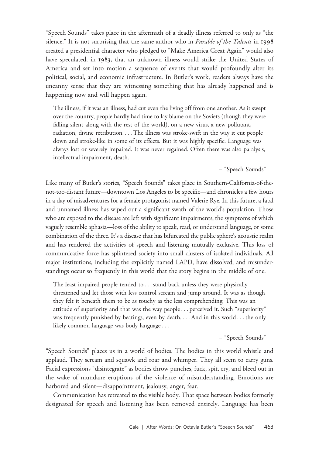"Speech Sounds" takes place in the aftermath of a deadly illness referred to only as "the silence." It is not surprising that the same author who in *Parable of the Talents* in 1998 created a presidential character who pledged to "Make America Great Again" would also have speculated, in 1983, that an unknown illness would strike the United States of America and set into motion a sequence of events that would profoundly alter its political, social, and economic infrastructure. In Butler's work, readers always have the uncanny sense that they are witnessing something that has already happened and is happening now and will happen again.

The illness, if it was an illness, had cut even the living off from one another. As it swept over the country, people hardly had time to lay blame on the Soviets (though they were falling silent along with the rest of the world), on a new virus, a new pollutant, radiation, divine retribution. ... The illness was stroke-swift in the way it cut people down and stroke-like in some of its effects. But it was highly specific. Language was always lost or severely impaired. It was never regained. Often there was also paralysis, intellectual impairment, death.

#### – "Speech Sounds"

Like many of Butler's stories, "Speech Sounds" takes place in Southern-California-of-thenot-too-distant future—downtown Los Angeles to be specific—and chronicles a few hours in a day of misadventures for a female protagonist named Valerie Rye. In this future, a fatal and unnamed illness has wiped out a significant swath of the world's population. Those who are exposed to the disease are left with significant impairments, the symptoms of which vaguely resemble aphasia—loss of the ability to speak, read, or understand language, or some combination of the three. It's a disease that has bifurcated the public sphere's acoustic realm and has rendered the activities of speech and listening mutually exclusive. This loss of communicative force has splintered society into small clusters of isolated individuals. All major institutions, including the explicitly named LAPD, have dissolved, and misunderstandings occur so frequently in this world that the story begins in the middle of one.

The least impaired people tended to ... stand back unless they were physically threatened and let those with less control scream and jump around. It was as though they felt it beneath them to be as touchy as the less comprehending. This was an attitude of superiority and that was the way people... perceived it. Such "superiority" was frequently punished by beatings, even by death. ...And in this world ... the only likely common language was body language...

## – "Speech Sounds"

"Speech Sounds" places us in a world of bodies. The bodies in this world whistle and applaud. They scream and squawk and roar and whimper. They all seem to carry guns. Facial expressions "disintegrate" as bodies throw punches, fuck, spit, cry, and bleed out in the wake of mundane eruptions of the violence of misunderstanding. Emotions are harbored and silent—disappointment, jealousy, anger, fear.

Communication has retreated to the visible body. That space between bodies formerly designated for speech and listening has been removed entirely. Language has been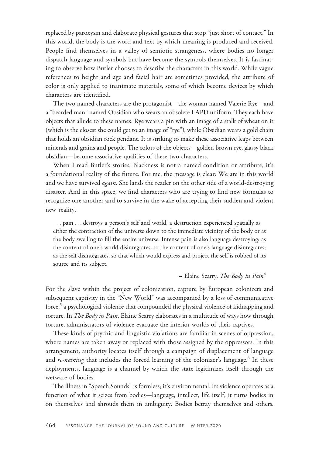replaced by paroxysm and elaborate physical gestures that stop "just short of contact." In this world, the body is the word and text by which meaning is produced and received. People find themselves in a valley of semiotic strangeness, where bodies no longer dispatch language and symbols but have become the symbols themselves. It is fascinating to observe how Butler chooses to describe the characters in this world. While vague references to height and age and facial hair are sometimes provided, the attribute of color is only applied to inanimate materials, some of which become devices by which characters are identified.

The two named characters are the protagonist—the woman named Valerie Rye—and a "bearded man" named Obsidian who wears an obsolete LAPD uniform. They each have objects that allude to these names: Rye wears a pin with an image of a stalk of wheat on it (which is the closest she could get to an image of "rye"), while Obsidian wears a gold chain that holds an obsidian rock pendant. It is striking to make these associative leaps between minerals and grains and people. The colors of the objects—golden brown rye, glassy black obsidian—become associative qualities of these two characters.

When I read Butler's stories, Blackness is not a named condition or attribute, it's a foundational reality of the future. For me, the message is clear: We are in this world and we have survived *again*. She lands the reader on the other side of a world-destroying disaster. And in this space, we find characters who are trying to find new formulas to recognize one another and to survive in the wake of accepting their sudden and violent new reality.

... pain ... destroys a person's self and world, a destruction experienced spatially as either the contraction of the universe down to the immediate vicinity of the body or as the body swelling to fill the entire universe. Intense pain is also language destroying: as the content of one's world disintegrates, so the content of one's language disintegrates; as the self disintegrates, so that which would express and project the self is robbed of its source and its subject.

### – Elaine Scarry, The Body in Pain<sup>4</sup>

For the slave within the project of colonization, capture by European colonizers and subsequent captivity in the "New World" was accompanied by a loss of communicative force,<sup>5</sup> a psychological violence that compounded the physical violence of kidnapping and torture. In *The Body in Pain*, Elaine Scarry elaborates in a multitude of ways how through torture, administrators of violence evacuate the interior worlds of their captives.

These kinds of psychic and linguistic violations are familiar in scenes of oppression, where names are taken away or replaced with those assigned by the oppressors. In this arrangement, authority locates itself through a campaign of displacement of language and *re-naming* that includes the forced learning of the colonizer's language.<sup>6</sup> In these deployments, language is a channel by which the state legitimizes itself through the wetware of bodies.

The illness in "Speech Sounds" is formless; it's environmental. Its violence operates as a function of what it seizes from bodies—language, intellect, life itself; it turns bodies in on themselves and shrouds them in ambiguity. Bodies betray themselves and others.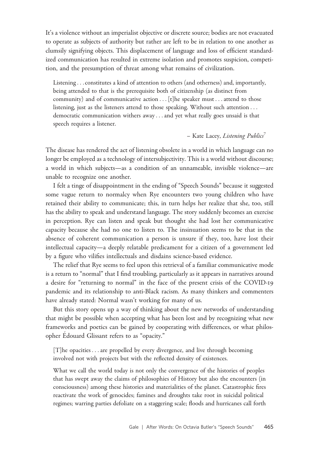It's a violence without an imperialist objective or discrete source; bodies are not evacuated to operate as subjects of authority but rather are left to be in relation to one another as clumsily signifying objects. This displacement of language and loss of efficient standardized communication has resulted in extreme isolation and promotes suspicion, competition, and the presumption of threat among what remains of civilization.

Listening ...constitutes a kind of attention to others (and otherness) and, importantly, being attended to that is the prerequisite both of citizenship (as distinct from community) and of communicative action  $\ldots$  [t]he speaker must  $\ldots$  attend to those listening, just as the listeners attend to those speaking. Without such attention ... democratic communication withers away ...and yet what really goes unsaid is that speech requires a listener.

– Kate Lacey, *Listening Publics*<sup>7</sup>

The disease has rendered the act of listening obsolete in a world in which language can no longer be employed as a technology of intersubjectivity. This is a world without discourse; a world in which subjects—as a condition of an unnameable, invisible violence—are unable to recognize one another.

I felt a tinge of disappointment in the ending of "Speech Sounds" because it suggested some vague return to normalcy when Rye encounters two young children who have retained their ability to communicate; this, in turn helps her realize that she, too, still has the ability to speak and understand language. The story suddenly becomes an exercise in perception. Rye can listen and speak but thought she had lost her communicative capacity because she had no one to listen to. The insinuation seems to be that in the absence of coherent communication a person is unsure if they, too, have lost their intellectual capacity—a deeply relatable predicament for a citizen of a government led by a figure who vilifies intellectuals and disdains science-based evidence.

The relief that Rye seems to feel upon this retrieval of a familiar communicative mode is a return to "normal" that I find troubling, particularly as it appears in narratives around a desire for "returning to normal" in the face of the present crisis of the COVID-19 pandemic and its relationship to anti-Black racism. As many thinkers and commenters have already stated: Normal wasn't working for many of us.

But this story opens up a way of thinking about the new networks of understanding that might be possible when accepting what has been lost and by recognizing what new frameworks and poetics can be gained by cooperating with differences, or what philosopher Edouard Glissant refers to as "opacity."

[T]he opacities ...are propelled by every divergence, and live through becoming involved not with projects but with the reflected density of existences.

What we call the world today is not only the convergence of the histories of peoples that has swept away the claims of philosophies of History but also the encounters (in consciousness) among these histories and materialities of the planet. Catastrophic fires reactivate the work of genocides; famines and droughts take root in suicidal political regimes; warring parties defoliate on a staggering scale; floods and hurricanes call forth